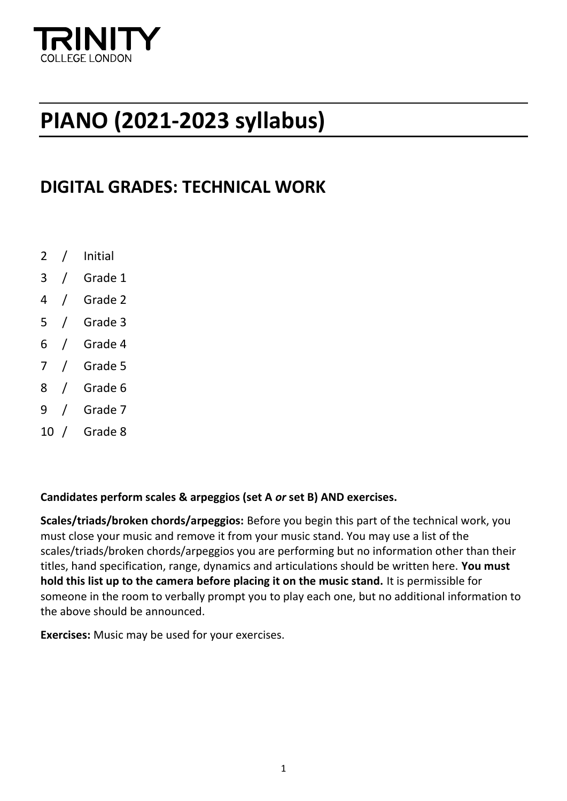

## **PIANO (2021-2023 syllabus)**

### **DIGITAL GRADES: TECHNICAL WORK**

- 2 / Initial
- 3 / Grade 1
- 4 / Grade 2
- 5 / Grade 3
- 6 / Grade 4
- 7 / Grade 5
- 8 / Grade 6
- 9 / Grade 7
- 10 / Grade 8

#### **Candidates perform scales & arpeggios (set A** *or* **set B) AND exercises.**

**Scales/triads/broken chords/arpeggios:** Before you begin this part of the technical work, you must close your music and remove it from your music stand. You may use a list of the scales/triads/broken chords/arpeggios you are performing but no information other than their titles, hand specification, range, dynamics and articulations should be written here. **You must hold this list up to the camera before placing it on the music stand.** It is permissible for someone in the room to verbally prompt you to play each one, but no additional information to the above should be announced.

**Exercises:** Music may be used for your exercises.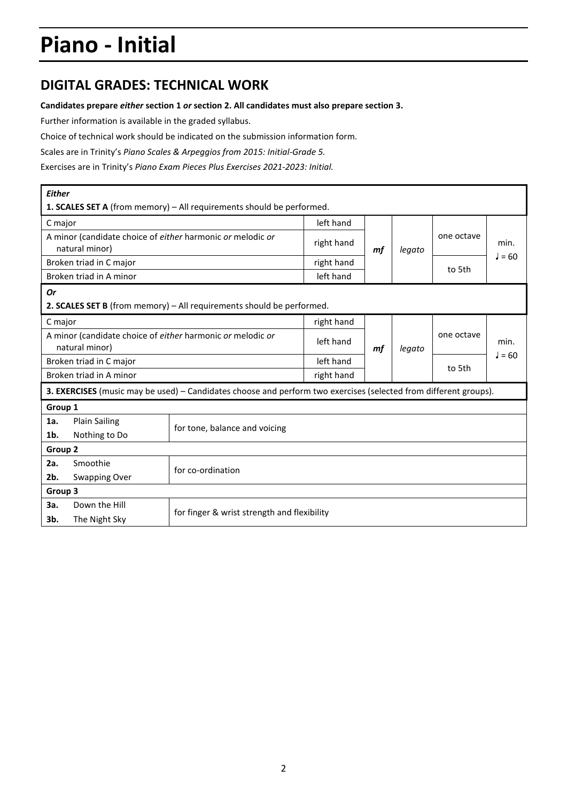# **Piano - Initial**

### **DIGITAL GRADES: TECHNICAL WORK**

#### **Candidates prepare** *either* **section 1** *or* **section 2. All candidates must also prepare section 3.**

Further information is available in the graded syllabus.

Choice of technical work should be indicated on the submission information form.

Scales are in Trinity's *Piano Scales & Arpeggios from 2015: Initial-Grade 5.*

Exercises are in Trinity's *Piano Exam Pieces Plus Exercises 2021-2023: Initial.*

| <b>Either</b>                                                                |                                       |                                                                                                                  |            |    |        |            |                  |
|------------------------------------------------------------------------------|---------------------------------------|------------------------------------------------------------------------------------------------------------------|------------|----|--------|------------|------------------|
|                                                                              |                                       | 1. SCALES SET A (from memory) - All requirements should be performed.                                            |            |    |        |            |                  |
| C major                                                                      |                                       |                                                                                                                  | left hand  |    |        |            |                  |
| A minor (candidate choice of either harmonic or melodic or<br>natural minor) |                                       |                                                                                                                  | right hand | mf | legato | one octave | min.             |
|                                                                              | Broken triad in C major               |                                                                                                                  | right hand |    |        | to 5th     | $J = 60$         |
|                                                                              | Broken triad in A minor               |                                                                                                                  | left hand  |    |        |            |                  |
| <b>Or</b>                                                                    |                                       | 2. SCALES SET B (from memory) - All requirements should be performed.                                            |            |    |        |            |                  |
| C major                                                                      |                                       |                                                                                                                  | right hand |    |        |            |                  |
| A minor (candidate choice of either harmonic or melodic or<br>natural minor) |                                       |                                                                                                                  | left hand  | mf | legato | one octave | min.<br>$J = 60$ |
| Broken triad in C major                                                      |                                       |                                                                                                                  | left hand  |    |        | to 5th     |                  |
| Broken triad in A minor                                                      |                                       |                                                                                                                  | right hand |    |        |            |                  |
|                                                                              |                                       | 3. EXERCISES (music may be used) - Candidates choose and perform two exercises (selected from different groups). |            |    |        |            |                  |
| Group 1                                                                      |                                       |                                                                                                                  |            |    |        |            |                  |
| 1a.<br>1b.                                                                   | <b>Plain Sailing</b><br>Nothing to Do | for tone, balance and voicing                                                                                    |            |    |        |            |                  |
| Group <sub>2</sub>                                                           |                                       |                                                                                                                  |            |    |        |            |                  |
| 2a.                                                                          | Smoothie                              | for co-ordination                                                                                                |            |    |        |            |                  |
| 2b.                                                                          | <b>Swapping Over</b>                  |                                                                                                                  |            |    |        |            |                  |
| Group 3                                                                      |                                       |                                                                                                                  |            |    |        |            |                  |
| За.                                                                          | Down the Hill                         |                                                                                                                  |            |    |        |            |                  |
| 3b.                                                                          | The Night Sky                         | for finger & wrist strength and flexibility                                                                      |            |    |        |            |                  |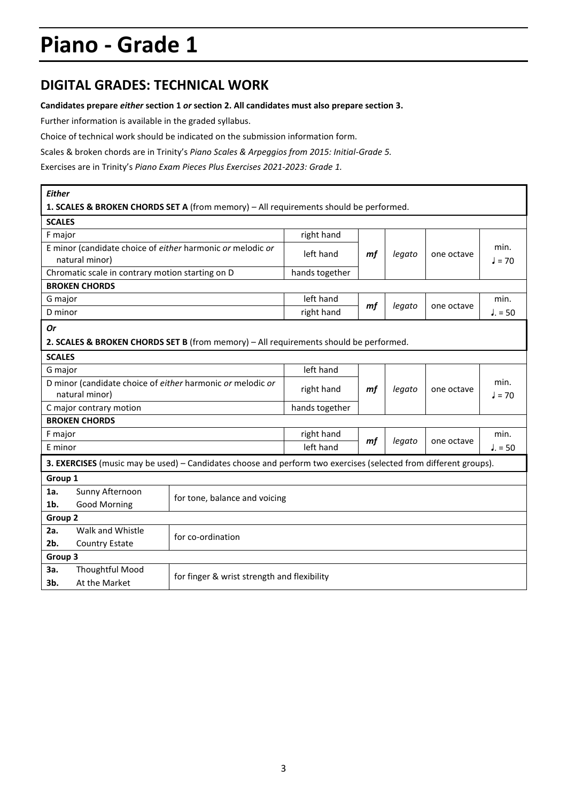### **DIGITAL GRADES: TECHNICAL WORK**

#### **Candidates prepare** *either* **section 1** *or* **section 2. All candidates must also prepare section 3.**

Further information is available in the graded syllabus.

Choice of technical work should be indicated on the submission information form.

Scales & broken chords are in Trinity's *Piano Scales & Arpeggios from 2015: Initial-Grade 5.* 

Exercises are in Trinity's *Piano Exam Pieces Plus Exercises 2021-2023: Grade 1.*

| <b>Either</b>                                                                                                    |                                             |                |        |            |            |          |  |  |  |
|------------------------------------------------------------------------------------------------------------------|---------------------------------------------|----------------|--------|------------|------------|----------|--|--|--|
| 1. SCALES & BROKEN CHORDS SET A (from memory) - All requirements should be performed.                            |                                             |                |        |            |            |          |  |  |  |
| <b>SCALES</b>                                                                                                    |                                             |                |        |            |            |          |  |  |  |
| F major                                                                                                          |                                             | right hand     |        |            |            |          |  |  |  |
| E minor (candidate choice of either harmonic or melodic or                                                       |                                             | left hand      | mf     | legato     | one octave | min.     |  |  |  |
| natural minor)                                                                                                   |                                             |                |        |            |            | $l = 70$ |  |  |  |
| Chromatic scale in contrary motion starting on D                                                                 |                                             | hands together |        |            |            |          |  |  |  |
| <b>BROKEN CHORDS</b>                                                                                             |                                             |                |        |            |            |          |  |  |  |
| G major                                                                                                          |                                             | left hand      | mf     | legato     | one octave | min.     |  |  |  |
| D minor                                                                                                          |                                             | right hand     |        |            |            | $J = 50$ |  |  |  |
| <b>Or</b>                                                                                                        |                                             |                |        |            |            |          |  |  |  |
| 2. SCALES & BROKEN CHORDS SET B (from memory) - All requirements should be performed.                            |                                             |                |        |            |            |          |  |  |  |
| <b>SCALES</b>                                                                                                    |                                             |                |        |            |            |          |  |  |  |
| G major                                                                                                          |                                             | left hand      |        |            |            |          |  |  |  |
| D minor (candidate choice of either harmonic or melodic or                                                       | right hand                                  | mf             | legato | one octave | min.       |          |  |  |  |
| natural minor)                                                                                                   |                                             |                |        |            | J = 70     |          |  |  |  |
| C major contrary motion                                                                                          | hands together                              |                |        |            |            |          |  |  |  |
| <b>BROKEN CHORDS</b>                                                                                             |                                             |                |        |            |            |          |  |  |  |
| F major                                                                                                          |                                             | right hand     | mf     | legato     | one octave | min.     |  |  |  |
| E minor                                                                                                          |                                             | left hand      |        |            |            | $J = 50$ |  |  |  |
| 3. EXERCISES (music may be used) - Candidates choose and perform two exercises (selected from different groups). |                                             |                |        |            |            |          |  |  |  |
| Group 1                                                                                                          |                                             |                |        |            |            |          |  |  |  |
| Sunny Afternoon<br>1a.                                                                                           | for tone, balance and voicing               |                |        |            |            |          |  |  |  |
| $1b$ .<br><b>Good Morning</b>                                                                                    |                                             |                |        |            |            |          |  |  |  |
| Group <sub>2</sub>                                                                                               |                                             |                |        |            |            |          |  |  |  |
| Walk and Whistle<br>2a.                                                                                          |                                             |                |        |            |            |          |  |  |  |
| $2b$ .<br><b>Country Estate</b>                                                                                  | for co-ordination                           |                |        |            |            |          |  |  |  |
| Group 3                                                                                                          |                                             |                |        |            |            |          |  |  |  |
| <b>Thoughtful Mood</b><br>За.                                                                                    |                                             |                |        |            |            |          |  |  |  |
| At the Market<br>3b.                                                                                             | for finger & wrist strength and flexibility |                |        |            |            |          |  |  |  |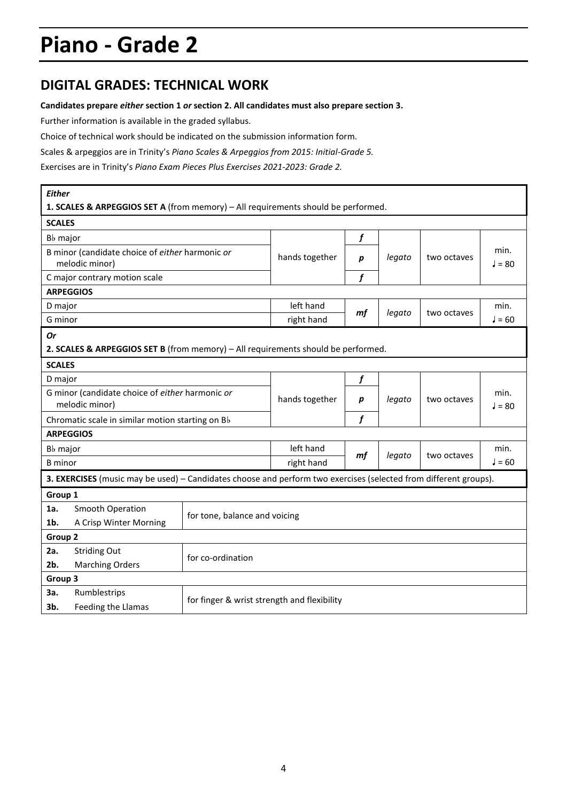### **DIGITAL GRADES: TECHNICAL WORK**

#### **Candidates prepare** *either* **section 1** *or* **section 2. All candidates must also prepare section 3.**

Further information is available in the graded syllabus.

Choice of technical work should be indicated on the submission information form.

Scales & arpeggios are in Trinity's *Piano Scales & Arpeggios from 2015: Initial-Grade 5.* 

Exercises are in Trinity's *Piano Exam Pieces Plus Exercises 2021-2023: Grade 2.*

| <b>Either</b>                                    |                                                                                                                  |                                             |                |    |        |             |          |  |
|--------------------------------------------------|------------------------------------------------------------------------------------------------------------------|---------------------------------------------|----------------|----|--------|-------------|----------|--|
|                                                  | 1. SCALES & ARPEGGIOS SET A (from memory) - All requirements should be performed.                                |                                             |                |    |        |             |          |  |
| <b>SCALES</b>                                    |                                                                                                                  |                                             |                |    |        |             |          |  |
| B <sub>b</sub> major                             |                                                                                                                  |                                             |                | f  |        |             | min.     |  |
|                                                  | B minor (candidate choice of either harmonic or<br>melodic minor)                                                |                                             | hands together | р  | legato | two octaves | $J = 80$ |  |
|                                                  | C major contrary motion scale                                                                                    |                                             |                | f  |        |             |          |  |
|                                                  | <b>ARPEGGIOS</b>                                                                                                 |                                             |                |    |        |             |          |  |
| D major                                          |                                                                                                                  |                                             | left hand      |    |        | two octaves | min.     |  |
| G minor                                          |                                                                                                                  |                                             | right hand     | mf | legato |             | $J = 60$ |  |
| <b>Or</b>                                        |                                                                                                                  |                                             |                |    |        |             |          |  |
|                                                  | 2. SCALES & ARPEGGIOS SET B (from memory) - All requirements should be performed.                                |                                             |                |    |        |             |          |  |
| <b>SCALES</b>                                    |                                                                                                                  |                                             |                |    |        |             |          |  |
| D major                                          |                                                                                                                  |                                             |                | f  | legato | two octaves |          |  |
|                                                  | G minor (candidate choice of either harmonic or                                                                  |                                             | hands together | p  |        |             | min.     |  |
| melodic minor)                                   |                                                                                                                  |                                             |                |    |        |             | $J = 80$ |  |
| Chromatic scale in similar motion starting on Bb |                                                                                                                  |                                             |                | f  |        |             |          |  |
|                                                  | <b>ARPEGGIOS</b>                                                                                                 |                                             |                |    |        |             |          |  |
| B <sub>b</sub> major                             |                                                                                                                  |                                             | left hand      | mf | legato | two octaves | min.     |  |
| <b>B</b> minor                                   |                                                                                                                  |                                             | right hand     |    |        |             | $J = 60$ |  |
|                                                  | 3. EXERCISES (music may be used) - Candidates choose and perform two exercises (selected from different groups). |                                             |                |    |        |             |          |  |
| Group 1                                          |                                                                                                                  |                                             |                |    |        |             |          |  |
| 1a.                                              | Smooth Operation                                                                                                 | for tone, balance and voicing               |                |    |        |             |          |  |
| 1b.                                              | A Crisp Winter Morning                                                                                           |                                             |                |    |        |             |          |  |
| Group 2                                          |                                                                                                                  |                                             |                |    |        |             |          |  |
| 2a.                                              | <b>Striding Out</b>                                                                                              | for co-ordination                           |                |    |        |             |          |  |
| 2b.                                              | <b>Marching Orders</b>                                                                                           |                                             |                |    |        |             |          |  |
| Group 3                                          |                                                                                                                  |                                             |                |    |        |             |          |  |
| За.                                              | Rumblestrips                                                                                                     |                                             |                |    |        |             |          |  |
| 3b.                                              | Feeding the Llamas                                                                                               | for finger & wrist strength and flexibility |                |    |        |             |          |  |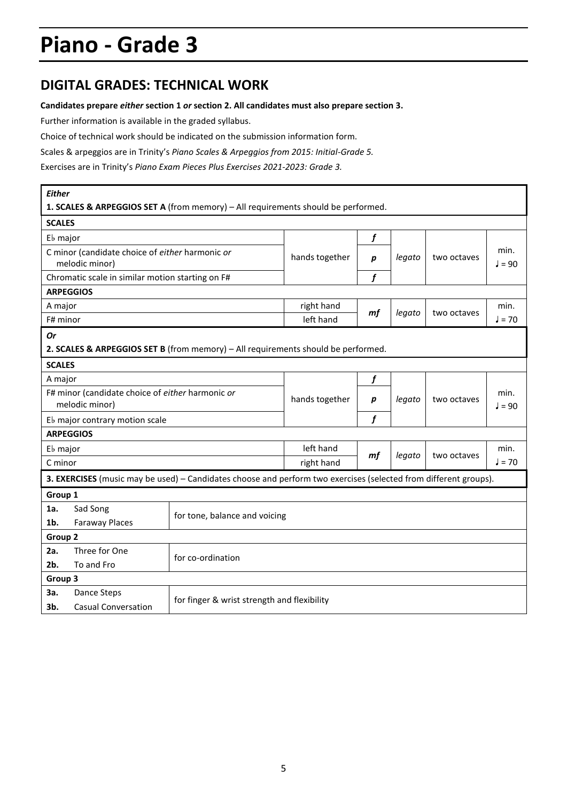### **DIGITAL GRADES: TECHNICAL WORK**

#### **Candidates prepare** *either* **section 1** *or* **section 2. All candidates must also prepare section 3.**

Further information is available in the graded syllabus.

Choice of technical work should be indicated on the submission information form.

Scales & arpeggios are in Trinity's *Piano Scales & Arpeggios from 2015: Initial-Grade 5.* 

Exercises are in Trinity's *Piano Exam Pieces Plus Exercises 2021-2023: Grade 3.*

| <b>Either</b>                  |                                                                   | 1. SCALES & ARPEGGIOS SET A (from memory) - All requirements should be performed.                                |                                             |                  |        |             |                  |  |
|--------------------------------|-------------------------------------------------------------------|------------------------------------------------------------------------------------------------------------------|---------------------------------------------|------------------|--------|-------------|------------------|--|
| <b>SCALES</b>                  |                                                                   |                                                                                                                  |                                             |                  |        |             |                  |  |
| E <sub>b</sub> major           |                                                                   |                                                                                                                  |                                             | f                |        |             |                  |  |
|                                | C minor (candidate choice of either harmonic or<br>melodic minor) |                                                                                                                  | hands together                              | р                | legato | two octaves | min.<br>$J = 90$ |  |
|                                | Chromatic scale in similar motion starting on F#                  |                                                                                                                  |                                             | f                |        |             |                  |  |
|                                | <b>ARPEGGIOS</b>                                                  |                                                                                                                  |                                             |                  |        |             |                  |  |
| A major                        |                                                                   |                                                                                                                  | right hand                                  |                  |        | two octaves | min.             |  |
| F# minor                       |                                                                   |                                                                                                                  | left hand                                   | mf               | legato |             | $J = 70$         |  |
| <b>Or</b>                      |                                                                   |                                                                                                                  |                                             |                  |        |             |                  |  |
|                                |                                                                   | 2. SCALES & ARPEGGIOS SET B (from memory) - All requirements should be performed.                                |                                             |                  |        |             |                  |  |
| <b>SCALES</b>                  |                                                                   |                                                                                                                  |                                             |                  |        |             |                  |  |
| A major                        |                                                                   |                                                                                                                  |                                             | f                | legato | two octaves |                  |  |
|                                | F# minor (candidate choice of either harmonic or                  |                                                                                                                  |                                             |                  |        |             | min.             |  |
| melodic minor)                 |                                                                   |                                                                                                                  | hands together                              | $\boldsymbol{p}$ |        |             | $J = 90$         |  |
| Eb major contrary motion scale |                                                                   |                                                                                                                  |                                             | f                |        |             |                  |  |
|                                | <b>ARPEGGIOS</b>                                                  |                                                                                                                  |                                             |                  |        |             |                  |  |
| E <sub>b</sub> major           |                                                                   |                                                                                                                  | left hand                                   |                  | legato | two octaves | min.             |  |
| C minor                        |                                                                   |                                                                                                                  | right hand                                  | mf               |        |             | $J = 70$         |  |
|                                |                                                                   | 3. EXERCISES (music may be used) - Candidates choose and perform two exercises (selected from different groups). |                                             |                  |        |             |                  |  |
| Group 1                        |                                                                   |                                                                                                                  |                                             |                  |        |             |                  |  |
| 1a.                            | Sad Song                                                          |                                                                                                                  |                                             |                  |        |             |                  |  |
| 1b.                            | <b>Faraway Places</b>                                             | for tone, balance and voicing                                                                                    |                                             |                  |        |             |                  |  |
| Group 2                        |                                                                   |                                                                                                                  |                                             |                  |        |             |                  |  |
| 2a.                            | Three for One                                                     |                                                                                                                  |                                             |                  |        |             |                  |  |
| 2b.                            | To and Fro                                                        | for co-ordination                                                                                                |                                             |                  |        |             |                  |  |
| Group 3                        |                                                                   |                                                                                                                  |                                             |                  |        |             |                  |  |
| За.                            | Dance Steps                                                       |                                                                                                                  |                                             |                  |        |             |                  |  |
| 3b.                            | <b>Casual Conversation</b>                                        |                                                                                                                  | for finger & wrist strength and flexibility |                  |        |             |                  |  |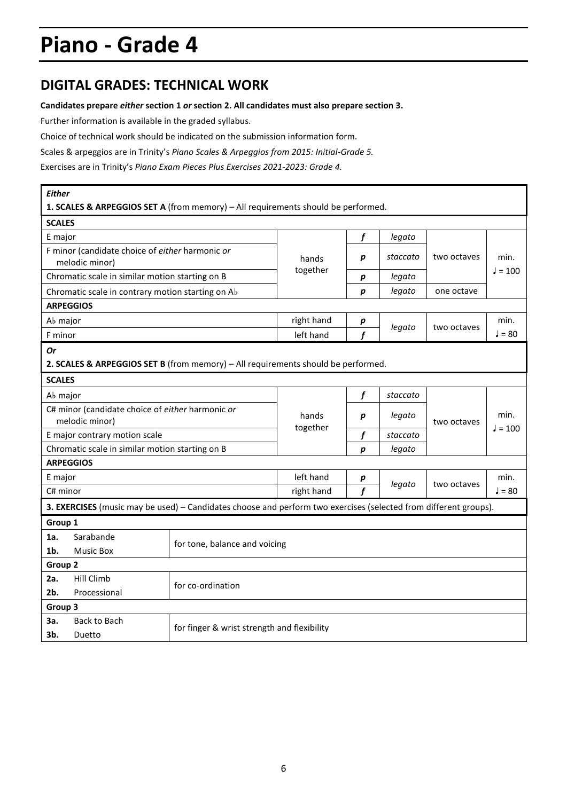### **DIGITAL GRADES: TECHNICAL WORK**

#### **Candidates prepare** *either* **section 1** *or* **section 2. All candidates must also prepare section 3.**

Further information is available in the graded syllabus.

Choice of technical work should be indicated on the submission information form.

Scales & arpeggios are in Trinity's *Piano Scales & Arpeggios from 2015: Initial-Grade 5.* 

Exercises are in Trinity's *Piano Exam Pieces Plus Exercises 2021-2023: Grade 4.*

| <b>Either</b>                                                      |                                                                   |                                                                                                                  |            |                |             |                   |           |
|--------------------------------------------------------------------|-------------------------------------------------------------------|------------------------------------------------------------------------------------------------------------------|------------|----------------|-------------|-------------------|-----------|
|                                                                    |                                                                   | 1. SCALES & ARPEGGIOS SET A (from memory) - All requirements should be performed.                                |            |                |             |                   |           |
| <b>SCALES</b>                                                      |                                                                   |                                                                                                                  |            |                |             |                   |           |
| E major                                                            |                                                                   |                                                                                                                  |            | f              | legato      |                   |           |
|                                                                    | F minor (candidate choice of either harmonic or<br>melodic minor) |                                                                                                                  | hands      | p              | staccato    | two octaves       | min.      |
|                                                                    | Chromatic scale in similar motion starting on B                   |                                                                                                                  | together   | р              | legato      |                   | $J = 100$ |
|                                                                    | Chromatic scale in contrary motion starting on Ab                 |                                                                                                                  |            | р              | legato      | one octave        |           |
|                                                                    | <b>ARPEGGIOS</b>                                                  |                                                                                                                  |            |                |             |                   |           |
| A <sub>b</sub> major                                               |                                                                   |                                                                                                                  | right hand | р              | legato      | two octaves       | min.      |
| F minor                                                            |                                                                   |                                                                                                                  | left hand  | $\mathbf f$    |             |                   | $J = 80$  |
| Or                                                                 |                                                                   |                                                                                                                  |            |                |             |                   |           |
|                                                                    |                                                                   | 2. SCALES & ARPEGGIOS SET B (from memory) - All requirements should be performed.                                |            |                |             |                   |           |
| <b>SCALES</b>                                                      |                                                                   |                                                                                                                  |            |                |             |                   |           |
| Ab major                                                           |                                                                   |                                                                                                                  |            | f              | staccato    |                   |           |
| C# minor (candidate choice of either harmonic or<br>melodic minor) |                                                                   | hands<br>together                                                                                                | р          | legato         | two octaves | min.<br>$J = 100$ |           |
|                                                                    | E major contrary motion scale                                     |                                                                                                                  |            | f              | staccato    |                   |           |
|                                                                    | Chromatic scale in similar motion starting on B                   |                                                                                                                  |            | p              | legato      |                   |           |
|                                                                    | <b>ARPEGGIOS</b>                                                  |                                                                                                                  |            |                |             |                   |           |
| E major                                                            |                                                                   |                                                                                                                  | left hand  | p              | legato      | two octaves       | min.      |
| C# minor                                                           |                                                                   |                                                                                                                  | right hand | $\overline{f}$ |             |                   | $J = 80$  |
|                                                                    |                                                                   | 3. EXERCISES (music may be used) - Candidates choose and perform two exercises (selected from different groups). |            |                |             |                   |           |
| Group 1                                                            |                                                                   |                                                                                                                  |            |                |             |                   |           |
| 1a.                                                                | Sarabande                                                         | for tone, balance and voicing                                                                                    |            |                |             |                   |           |
| 1 <sub>b</sub>                                                     | <b>Music Box</b>                                                  |                                                                                                                  |            |                |             |                   |           |
| Group <sub>2</sub>                                                 |                                                                   |                                                                                                                  |            |                |             |                   |           |
| 2a.                                                                | <b>Hill Climb</b>                                                 | for co-ordination                                                                                                |            |                |             |                   |           |
| $2b$ .                                                             | Processional                                                      |                                                                                                                  |            |                |             |                   |           |
| Group 3                                                            |                                                                   |                                                                                                                  |            |                |             |                   |           |
| За.                                                                | Back to Bach                                                      | for finger & wrist strength and flexibility                                                                      |            |                |             |                   |           |
| 3b.                                                                | Duetto                                                            |                                                                                                                  |            |                |             |                   |           |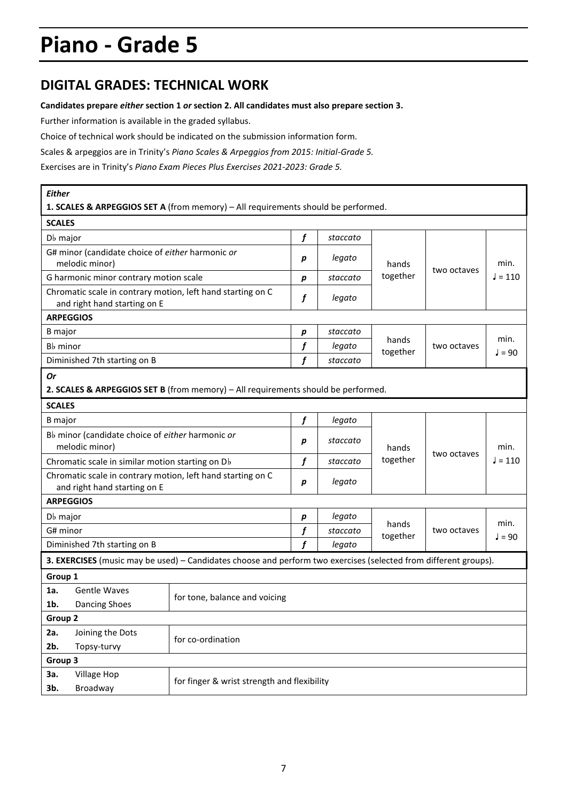### **DIGITAL GRADES: TECHNICAL WORK**

#### **Candidates prepare** *either* **section 1** *or* **section 2. All candidates must also prepare section 3.**

Further information is available in the graded syllabus.

Choice of technical work should be indicated on the submission information form.

Scales & arpeggios are in Trinity's *Piano Scales & Arpeggios from 2015: Initial-Grade 5.* 

Exercises are in Trinity's *Piano Exam Pieces Plus Exercises 2021-2023: Grade 5.*

| <b>Either</b>                                                      |                                                                    |                                                                                                                  |                  |          |                   |             |                  |
|--------------------------------------------------------------------|--------------------------------------------------------------------|------------------------------------------------------------------------------------------------------------------|------------------|----------|-------------------|-------------|------------------|
|                                                                    |                                                                    | 1. SCALES & ARPEGGIOS SET A (from memory) - All requirements should be performed.                                |                  |          |                   |             |                  |
| <b>SCALES</b>                                                      |                                                                    |                                                                                                                  |                  |          |                   |             |                  |
| D <sub>b</sub> major                                               |                                                                    |                                                                                                                  | f                | staccato |                   |             |                  |
|                                                                    | G# minor (candidate choice of either harmonic or<br>melodic minor) |                                                                                                                  | р                | legato   | hands             | two octaves | min.             |
|                                                                    | G harmonic minor contrary motion scale                             |                                                                                                                  | р                | staccato | together          |             | $J = 110$        |
|                                                                    | and right hand starting on E                                       | Chromatic scale in contrary motion, left hand starting on C                                                      | f                | legato   |                   |             |                  |
|                                                                    | <b>ARPEGGIOS</b>                                                   |                                                                                                                  |                  |          |                   |             |                  |
| B major                                                            |                                                                    |                                                                                                                  | р                | staccato |                   | two octaves | min.<br>$J = 90$ |
| B <sub>b</sub> minor                                               |                                                                    |                                                                                                                  | f                | legato   | hands<br>together |             |                  |
|                                                                    | Diminished 7th starting on B                                       |                                                                                                                  | $\boldsymbol{f}$ | staccato |                   |             |                  |
| Or                                                                 |                                                                    |                                                                                                                  |                  |          |                   |             |                  |
|                                                                    |                                                                    | 2. SCALES & ARPEGGIOS SET B (from memory) - All requirements should be performed.                                |                  |          |                   |             |                  |
| <b>SCALES</b>                                                      |                                                                    |                                                                                                                  |                  |          |                   |             |                  |
| <b>B</b> major                                                     |                                                                    |                                                                                                                  | f                | legato   |                   |             |                  |
| Bb minor (candidate choice of either harmonic or<br>melodic minor) |                                                                    |                                                                                                                  | р                | staccato | hands             | two octaves | min.             |
|                                                                    | Chromatic scale in similar motion starting on Db                   |                                                                                                                  | f                | staccato | together          |             | $J = 110$        |
|                                                                    |                                                                    | Chromatic scale in contrary motion, left hand starting on C                                                      | p                | legato   |                   |             |                  |
|                                                                    | and right hand starting on E                                       |                                                                                                                  |                  |          |                   |             |                  |
|                                                                    | <b>ARPEGGIOS</b>                                                   |                                                                                                                  |                  |          |                   |             |                  |
| D <sub>b</sub> major                                               |                                                                    |                                                                                                                  | p                | legato   | hands             |             | min.             |
| G# minor                                                           |                                                                    |                                                                                                                  | f                | staccato | together          | two octaves | $J = 90$         |
|                                                                    | Diminished 7th starting on B                                       |                                                                                                                  | f                | legato   |                   |             |                  |
|                                                                    |                                                                    | 3. EXERCISES (music may be used) - Candidates choose and perform two exercises (selected from different groups). |                  |          |                   |             |                  |
| Group 1                                                            |                                                                    |                                                                                                                  |                  |          |                   |             |                  |
| 1a.                                                                | <b>Gentle Waves</b>                                                | for tone, balance and voicing                                                                                    |                  |          |                   |             |                  |
| 1b.                                                                | <b>Dancing Shoes</b>                                               |                                                                                                                  |                  |          |                   |             |                  |
| Group <sub>2</sub>                                                 |                                                                    |                                                                                                                  |                  |          |                   |             |                  |
| 2a.                                                                | Joining the Dots                                                   | for co-ordination                                                                                                |                  |          |                   |             |                  |
| 2b.                                                                | Topsy-turvy                                                        |                                                                                                                  |                  |          |                   |             |                  |
| Group 3                                                            |                                                                    |                                                                                                                  |                  |          |                   |             |                  |
| 3a.                                                                | Village Hop                                                        | for finger & wrist strength and flexibility                                                                      |                  |          |                   |             |                  |
| 3b.                                                                | Broadway                                                           |                                                                                                                  |                  |          |                   |             |                  |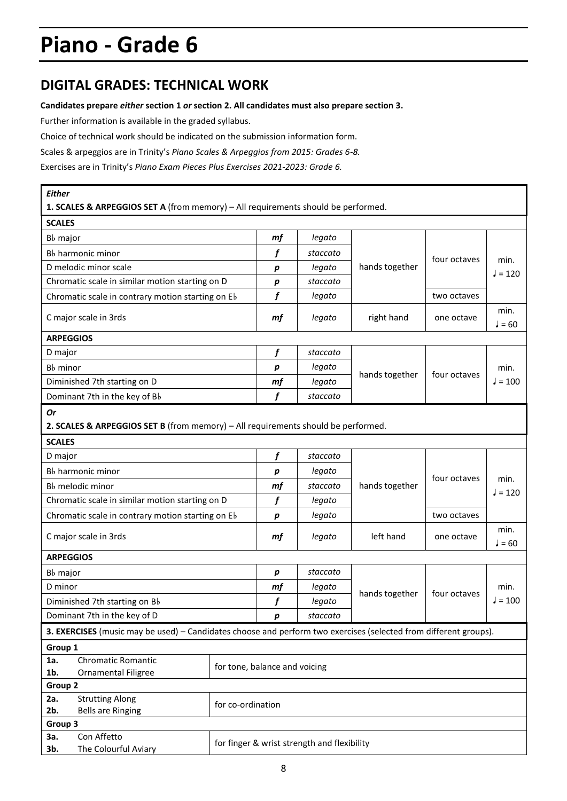### **DIGITAL GRADES: TECHNICAL WORK**

#### **Candidates prepare** *either* **section 1** *or* **section 2. All candidates must also prepare section 3.**

Further information is available in the graded syllabus.

Choice of technical work should be indicated on the submission information form.

Scales & arpeggios are in Trinity's *Piano Scales & Arpeggios from 2015: Grades 6-8.* 

Exercises are in Trinity's *Piano Exam Pieces Plus Exercises 2021-2023: Grade 6.*

| <b>Either</b>                                                                                                    |  |                                             |          |                |              |                   |  |
|------------------------------------------------------------------------------------------------------------------|--|---------------------------------------------|----------|----------------|--------------|-------------------|--|
| 1. SCALES & ARPEGGIOS SET A (from memory) - All requirements should be performed.                                |  |                                             |          |                |              |                   |  |
| <b>SCALES</b>                                                                                                    |  |                                             |          |                |              |                   |  |
| B <sub>b</sub> major                                                                                             |  |                                             | legato   |                |              |                   |  |
| B <sub>b</sub> harmonic minor                                                                                    |  | f                                           | staccato |                | four octaves | min.              |  |
| D melodic minor scale                                                                                            |  | $\boldsymbol{p}$                            | legato   | hands together |              | $J = 120$         |  |
| Chromatic scale in similar motion starting on D                                                                  |  | р                                           | staccato |                |              |                   |  |
| Chromatic scale in contrary motion starting on Eb                                                                |  | f                                           | legato   |                | two octaves  |                   |  |
| C major scale in 3rds                                                                                            |  | mf                                          | legato   | right hand     | one octave   | min.<br>$J = 60$  |  |
| <b>ARPEGGIOS</b>                                                                                                 |  |                                             |          |                |              |                   |  |
| D major                                                                                                          |  | f                                           | staccato |                |              |                   |  |
| B <sub>b</sub> minor                                                                                             |  | р                                           | legato   |                |              | min.<br>$J = 100$ |  |
| Diminished 7th starting on D                                                                                     |  | mf                                          | legato   | hands together | four octaves |                   |  |
| Dominant 7th in the key of Bb                                                                                    |  | f                                           | staccato |                |              |                   |  |
| Or<br>2. SCALES & ARPEGGIOS SET B (from memory) - All requirements should be performed.                          |  |                                             |          |                |              |                   |  |
| <b>SCALES</b>                                                                                                    |  |                                             |          |                |              |                   |  |
| D major                                                                                                          |  | f                                           | staccato |                |              |                   |  |
| B <sub>b</sub> harmonic minor                                                                                    |  | р<br>mf                                     | legato   |                | four octaves | min.              |  |
| B <sub>b</sub> melodic minor                                                                                     |  |                                             | staccato | hands together |              | $J = 120$         |  |
| Chromatic scale in similar motion starting on D                                                                  |  | f                                           | legato   |                |              |                   |  |
| Chromatic scale in contrary motion starting on Eb                                                                |  | р                                           | legato   |                | two octaves  |                   |  |
| C major scale in 3rds                                                                                            |  | mf                                          | legato   | left hand      | one octave   | min.<br>J = 60    |  |
| <b>ARPEGGIOS</b>                                                                                                 |  |                                             |          |                |              |                   |  |
| B <sub>b</sub> major                                                                                             |  | р                                           | staccato |                |              |                   |  |
| D minor                                                                                                          |  | mf                                          | legato   | hands together | four octaves | min.              |  |
| Diminished 7th starting on Bb                                                                                    |  | f                                           | legato   |                |              | $J = 100$         |  |
| Dominant 7th in the key of D                                                                                     |  | р                                           | staccato |                |              |                   |  |
| 3. EXERCISES (music may be used) - Candidates choose and perform two exercises (selected from different groups). |  |                                             |          |                |              |                   |  |
| Group 1                                                                                                          |  |                                             |          |                |              |                   |  |
| <b>Chromatic Romantic</b><br>1a.                                                                                 |  | for tone, balance and voicing               |          |                |              |                   |  |
| 1b.<br><b>Ornamental Filigree</b>                                                                                |  |                                             |          |                |              |                   |  |
| Group 2                                                                                                          |  |                                             |          |                |              |                   |  |
| 2a.<br><b>Strutting Along</b>                                                                                    |  | for co-ordination                           |          |                |              |                   |  |
| 2b.<br><b>Bells are Ringing</b><br>Group 3                                                                       |  |                                             |          |                |              |                   |  |
| Con Affetto<br>За.                                                                                               |  |                                             |          |                |              |                   |  |
| The Colourful Aviary<br>3b.                                                                                      |  | for finger & wrist strength and flexibility |          |                |              |                   |  |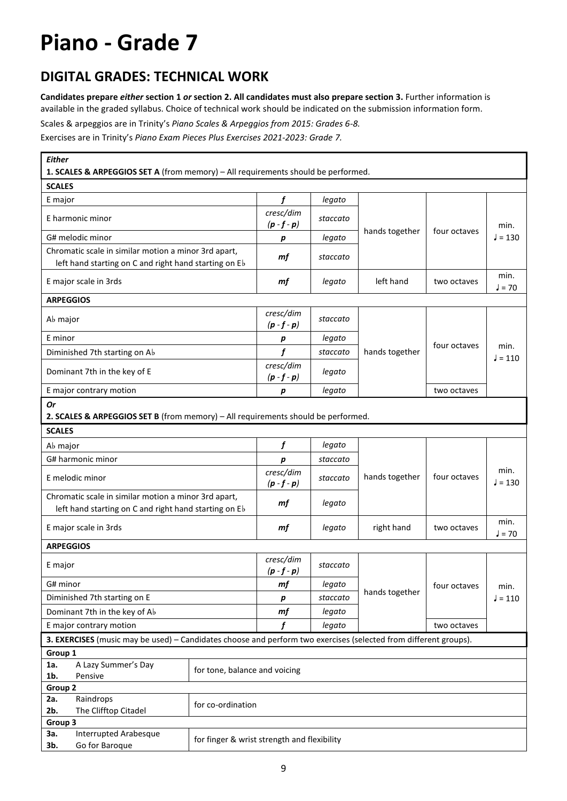### **DIGITAL GRADES: TECHNICAL WORK**

**Candidates prepare** *either* **section 1** *or* **section 2. All candidates must also prepare section 3.** Further information is available in the graded syllabus. Choice of technical work should be indicated on the submission information form.

Scales & arpeggios are in Trinity's *Piano Scales & Arpeggios from 2015: Grades 6-8.* 

Exercises are in Trinity's *Piano Exam Pieces Plus Exercises 2021-2023: Grade 7.*

| <b>Either</b><br>1. SCALES & ARPEGGIOS SET A (from memory) - All requirements should be performed.               |                                             |                            |          |                |              |                   |
|------------------------------------------------------------------------------------------------------------------|---------------------------------------------|----------------------------|----------|----------------|--------------|-------------------|
| <b>SCALES</b>                                                                                                    |                                             |                            |          |                |              |                   |
| E major                                                                                                          |                                             | f                          | legato   |                |              |                   |
| E harmonic minor                                                                                                 |                                             | cresc/dim<br>$(p - f - p)$ | staccato |                |              |                   |
| G# melodic minor                                                                                                 |                                             | р                          | legato   | hands together | four octaves | min.<br>$J = 130$ |
| Chromatic scale in similar motion a minor 3rd apart,                                                             |                                             |                            |          |                |              |                   |
| left hand starting on C and right hand starting on Eb                                                            |                                             | mf                         | staccato |                |              |                   |
| E major scale in 3rds                                                                                            |                                             | mf                         | legato   | left hand      | two octaves  | min.<br>$J = 70$  |
| <b>ARPEGGIOS</b>                                                                                                 |                                             |                            |          |                |              |                   |
| A <sub>b</sub> major                                                                                             |                                             | cresc/dim<br>$(p - f - p)$ | staccato |                |              |                   |
| E minor                                                                                                          |                                             | р                          | legato   |                | four octaves | min.<br>$J = 110$ |
| Diminished 7th starting on Ab                                                                                    |                                             | f                          | staccato | hands together |              |                   |
| Dominant 7th in the key of E                                                                                     |                                             | cresc/dim<br>$(p - f - p)$ | legato   |                |              |                   |
| E major contrary motion                                                                                          |                                             | p                          | legato   |                | two octaves  |                   |
| <b>Or</b>                                                                                                        |                                             |                            |          |                |              |                   |
| 2. SCALES & ARPEGGIOS SET B (from memory) - All requirements should be performed.                                |                                             |                            |          |                |              |                   |
| <b>SCALES</b>                                                                                                    |                                             |                            |          |                |              |                   |
| Ab major                                                                                                         |                                             | f                          | legato   |                |              |                   |
| G# harmonic minor                                                                                                |                                             | p                          | staccato |                |              |                   |
| E melodic minor                                                                                                  |                                             | cresc/dim<br>$(p - f - p)$ | staccato | hands together | four octaves | min.<br>$J = 130$ |
| Chromatic scale in similar motion a minor 3rd apart,                                                             |                                             | mf                         | legato   |                |              |                   |
| left hand starting on C and right hand starting on Eb                                                            |                                             |                            |          |                |              |                   |
| E major scale in 3rds                                                                                            |                                             | mf                         | legato   | right hand     | two octaves  | min.<br>$J = 70$  |
| <b>ARPEGGIOS</b>                                                                                                 |                                             |                            |          |                |              |                   |
| E major                                                                                                          |                                             | cresc/dim<br>$(p - f - p)$ | staccato |                |              |                   |
| G# minor                                                                                                         |                                             | mf                         | legato   |                | four octaves | min.              |
| Diminished 7th starting on E                                                                                     |                                             | $\pmb{p}$                  | staccato | hands together |              | $J = 110$         |
| Dominant 7th in the key of Ab                                                                                    |                                             | mf                         | legato   |                |              |                   |
| E major contrary motion                                                                                          |                                             | f                          | legato   |                | two octaves  |                   |
| 3. EXERCISES (music may be used) - Candidates choose and perform two exercises (selected from different groups). |                                             |                            |          |                |              |                   |
| Group 1                                                                                                          |                                             |                            |          |                |              |                   |
| A Lazy Summer's Day<br>1a.<br>$1b$ .<br>Pensive                                                                  | for tone, balance and voicing               |                            |          |                |              |                   |
| Group 2                                                                                                          |                                             |                            |          |                |              |                   |
| Raindrops<br>2a.                                                                                                 | for co-ordination                           |                            |          |                |              |                   |
| 2b.<br>The Clifftop Citadel                                                                                      |                                             |                            |          |                |              |                   |
| Group 3<br><b>Interrupted Arabesque</b><br>За.                                                                   |                                             |                            |          |                |              |                   |
| Go for Baroque<br>3b.                                                                                            | for finger & wrist strength and flexibility |                            |          |                |              |                   |